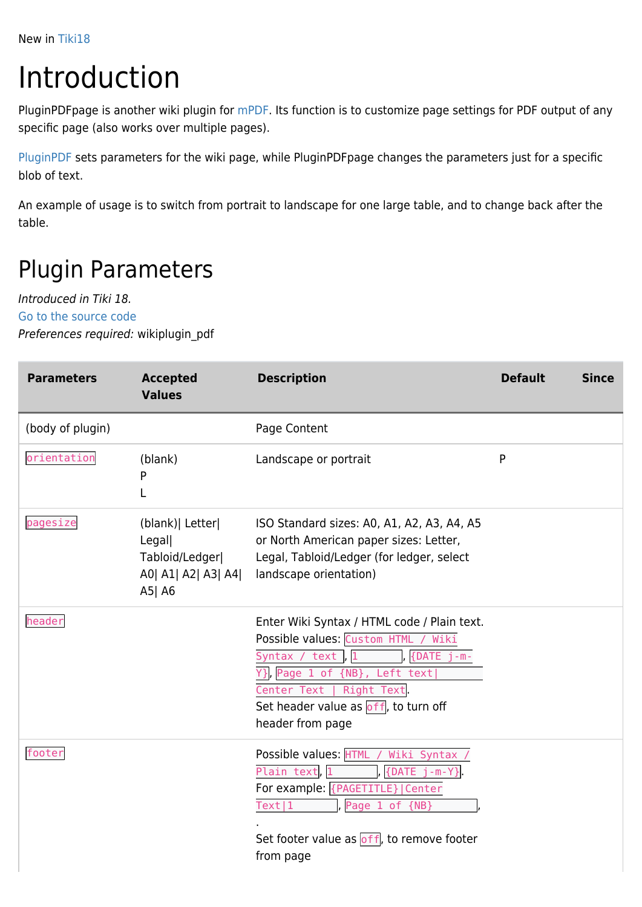New in [Tiki18](https://doc.tiki.org/Tiki18)

## Introduction

PluginPDFpage is another wiki plugin for [mPDF](https://doc.tiki.org/mPDF). Its function is to customize page settings for PDF output of any specific page (also works over multiple pages).

[PluginPDF](https://doc.tiki.org/PluginPDF) sets parameters for the wiki page, while PluginPDFpage changes the parameters just for a specific blob of text.

An example of usage is to switch from portrait to landscape for one large table, and to change back after the table.

## Plugin Parameters

Introduced in Tiki 18.

[Go to the source code](https://gitlab.com/tikiwiki/tiki/-/blob/master/lib/wiki-plugins/wikiplugin_pdfpage.php)

Preferences required: wikiplugin\_pdf

| <b>Parameters</b> | <b>Accepted</b><br><b>Values</b>                                                 | <b>Description</b>                                                                                                                                                                                                                                                | <b>Default</b> | <b>Since</b> |
|-------------------|----------------------------------------------------------------------------------|-------------------------------------------------------------------------------------------------------------------------------------------------------------------------------------------------------------------------------------------------------------------|----------------|--------------|
| (body of plugin)  |                                                                                  | Page Content                                                                                                                                                                                                                                                      |                |              |
| orientation       | (blank)<br>P                                                                     | Landscape or portrait                                                                                                                                                                                                                                             | P              |              |
| pagesize          | (blank)   Letter<br>Legal<br>Tabloid/Ledger <br>A0  A1  A2  A3  A4 <br>$A5$   A6 | ISO Standard sizes: A0, A1, A2, A3, A4, A5<br>or North American paper sizes: Letter,<br>Legal, Tabloid/Ledger (for ledger, select<br>landscape orientation)                                                                                                       |                |              |
| header            |                                                                                  | Enter Wiki Syntax / HTML code / Plain text.<br>Possible values: Custom HTML<br>Wiki<br>Syntax / text<br> ,  1<br>$\{DATE_j - m -$<br>Y}, Page 1 of {NB}, Left text <br>Center Text  <br>Right Text<br>Set header value as $off$ , to turn off<br>header from page |                |              |
| footer            |                                                                                  | Possible values: HTML<br>Wiki Syntax /<br>Plain text, 1<br>$\{DATE \ j-m-Y\}$<br>For example: {PAGETITLE}   Center<br>Text 1<br>Page 1<br>of<br>${N}$<br>Set footer value as off, to remove footer<br>from page                                                   |                |              |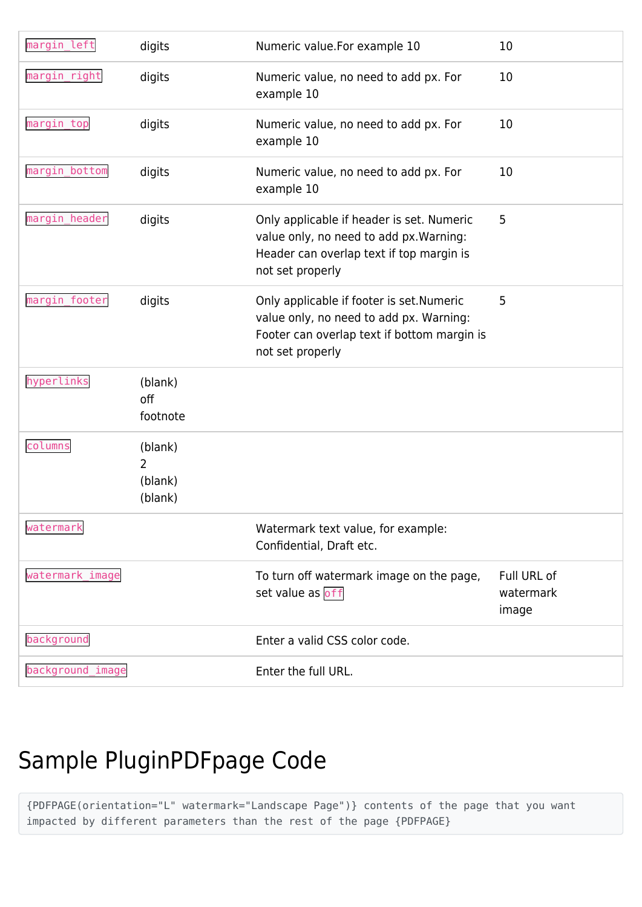| margin_left      | digits                             | Numeric value.For example 10                                                                                                                            | 10                                |
|------------------|------------------------------------|---------------------------------------------------------------------------------------------------------------------------------------------------------|-----------------------------------|
| margin_right     | digits                             | Numeric value, no need to add px. For<br>example 10                                                                                                     | 10                                |
| margin_top       | digits                             | Numeric value, no need to add px. For<br>example 10                                                                                                     | 10                                |
| margin_bottom    | digits                             | Numeric value, no need to add px. For<br>example 10                                                                                                     | 10                                |
| margin_header    | digits                             | Only applicable if header is set. Numeric<br>value only, no need to add px. Warning:<br>Header can overlap text if top margin is<br>not set properly    | 5                                 |
| margin_footer    | digits                             | Only applicable if footer is set. Numeric<br>value only, no need to add px. Warning:<br>Footer can overlap text if bottom margin is<br>not set properly | 5                                 |
| hyperlinks       | (blank)<br>off<br>footnote         |                                                                                                                                                         |                                   |
| columns          | (blank)<br>2<br>(blank)<br>(blank) |                                                                                                                                                         |                                   |
| watermark        |                                    | Watermark text value, for example:<br>Confidential, Draft etc.                                                                                          |                                   |
| watermark image  |                                    | To turn off watermark image on the page,<br>set value as off                                                                                            | Full URL of<br>watermark<br>image |
| background       |                                    | Enter a valid CSS color code.                                                                                                                           |                                   |
| background_image |                                    | Enter the full URL.                                                                                                                                     |                                   |

## Sample PluginPDFpage Code

{PDFPAGE(orientation="L" watermark="Landscape Page")} contents of the page that you want impacted by different parameters than the rest of the page {PDFPAGE}